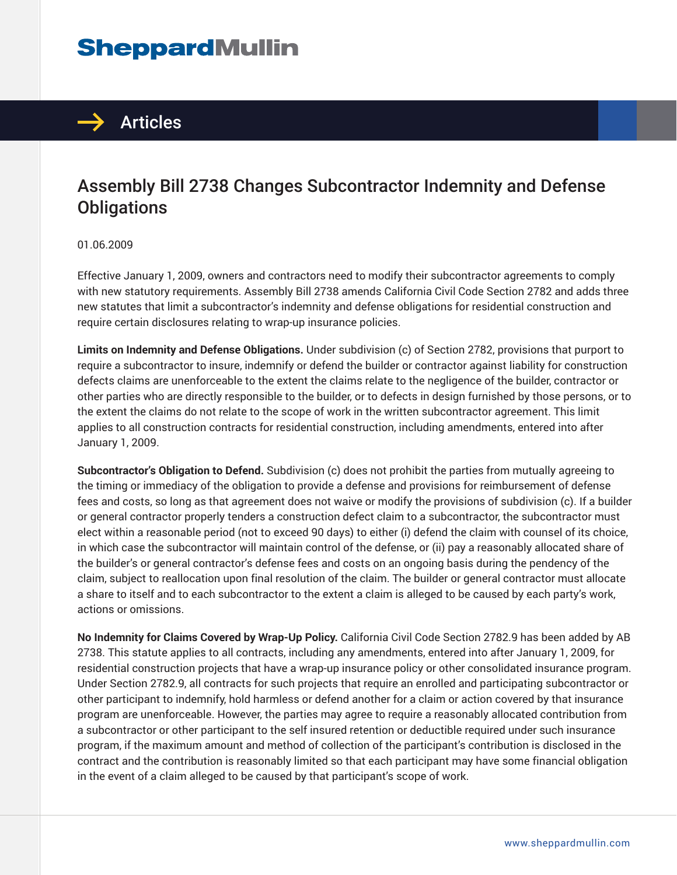## **SheppardMullin**



## Assembly Bill 2738 Changes Subcontractor Indemnity and Defense **Obligations**

01.06.2009

Effective January 1, 2009, owners and contractors need to modify their subcontractor agreements to comply with new statutory requirements. Assembly Bill 2738 amends California Civil Code Section 2782 and adds three new statutes that limit a subcontractor's indemnity and defense obligations for residential construction and require certain disclosures relating to wrap-up insurance policies.

**Limits on Indemnity and Defense Obligations.** Under subdivision (c) of Section 2782, provisions that purport to require a subcontractor to insure, indemnify or defend the builder or contractor against liability for construction defects claims are unenforceable to the extent the claims relate to the negligence of the builder, contractor or other parties who are directly responsible to the builder, or to defects in design furnished by those persons, or to the extent the claims do not relate to the scope of work in the written subcontractor agreement. This limit applies to all construction contracts for residential construction, including amendments, entered into after January 1, 2009.

**Subcontractor's Obligation to Defend.** Subdivision (c) does not prohibit the parties from mutually agreeing to the timing or immediacy of the obligation to provide a defense and provisions for reimbursement of defense fees and costs, so long as that agreement does not waive or modify the provisions of subdivision (c). If a builder or general contractor properly tenders a construction defect claim to a subcontractor, the subcontractor must elect within a reasonable period (not to exceed 90 days) to either (i) defend the claim with counsel of its choice, in which case the subcontractor will maintain control of the defense, or (ii) pay a reasonably allocated share of the builder's or general contractor's defense fees and costs on an ongoing basis during the pendency of the claim, subject to reallocation upon final resolution of the claim. The builder or general contractor must allocate a share to itself and to each subcontractor to the extent a claim is alleged to be caused by each party's work, actions or omissions.

**No Indemnity for Claims Covered by Wrap-Up Policy.** California Civil Code Section 2782.9 has been added by AB 2738. This statute applies to all contracts, including any amendments, entered into after January 1, 2009, for residential construction projects that have a wrap-up insurance policy or other consolidated insurance program. Under Section 2782.9, all contracts for such projects that require an enrolled and participating subcontractor or other participant to indemnify, hold harmless or defend another for a claim or action covered by that insurance program are unenforceable. However, the parties may agree to require a reasonably allocated contribution from a subcontractor or other participant to the self insured retention or deductible required under such insurance program, if the maximum amount and method of collection of the participant's contribution is disclosed in the contract and the contribution is reasonably limited so that each participant may have some financial obligation in the event of a claim alleged to be caused by that participant's scope of work.